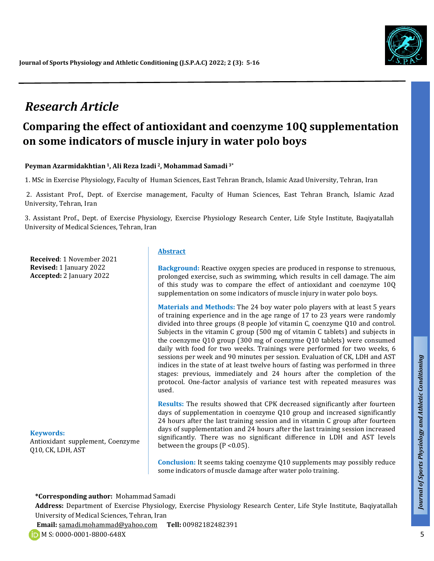

# *Research Article*

# **Comparing the effect of antioxidant and coenzyme 10Q supplementation on some indicators of muscle injury in water polo boys**

#### **Peyman Azarmidakhtian <sup>1</sup>, Ali Reza Izadi <sup>2</sup>, Mohammad Samadi 3\***

1. MSc in Exercise Physiology, Faculty of Human Sciences, East Tehran Branch, Islamic Azad University, Tehran, Iran

2. Assistant Prof., Dept. of Exercise management, Faculty of Human Sciences, East Tehran Branch, Islamic Azad University, Tehran, Iran

3. Assistant Prof., Dept. of Exercise Physiology, Exercise Physiology Research Center, Life Style Institute, Baqiyatallah University of Medical Sciences, Tehran, Iran

**Received**: 1 November 2021 **Revised:** 1 January 2022 **Accepted:** 2 January 2022

#### **Keywords:** Antioxidant supplement, Coenzyme Q10, CK, LDH, AST

#### **Abstract**

**Background:** Reactive oxygen species are produced in response to strenuous, prolonged exercise, such as swimming, which results in cell damage. The aim of this study was to compare the effect of antioxidant and coenzyme 10Q supplementation on some indicators of muscle injury in water polo boys.

**Materials and Methods:** The 24 boy water polo players with at least 5 years of training experience and in the age range of 17 to 23 years were randomly divided into three groups  $(8 \text{ people})$  of vitamin C, coenzyme Q10 and control. Subjects in the vitamin C group (500 mg of vitamin C tablets) and subjects in the coenzyme Q10 group (300 mg of coenzyme Q10 tablets) were consumed daily with food for two weeks. Trainings were performed for two weeks, 6 sessions per week and 90 minutes per session. Evaluation of CK, LDH and AST indices in the state of at least twelve hours of fasting was performed in three stages: previous, immediately and 24 hours after the completion of the protocol. One-factor analysis of variance test with repeated measures was used.

**Results:** The results showed that CPK decreased significantly after fourteen days of supplementation in coenzyme Q10 group and increased significantly 24 hours after the last training session and in vitamin C group after fourteen days of supplementation and 24 hours after the last training session increased significantly. There was no significant difference in LDH and AST levels between the groups (P < 0.05).

**Conclusion:** It seems taking coenzyme Q10 supplements may possibly reduce some indicators of muscle damage after water polo training.

**\*Corresponding author:** Mohammad Samadi

**Address:** Department of Exercise Physiology, Exercise Physiology Research Center, Life Style Institute, Baqiyatallah University of Medical Sciences, Tehran, Iran

**Email:** samadi.mohammad@yahoo.com **Tell:** 00982182482391

*Talk*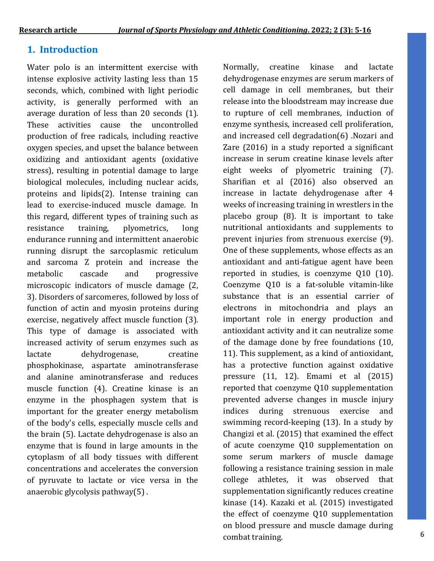# **1. Introduction**

Water polo is an intermittent exercise with intense explosive activity lasting less than 15 seconds, which, combined with light periodic activity, is generally performed with an average duration of less than 20 seconds (1). These activities cause the uncontrolled production of free radicals, including reactive oxygen species, and upset the balance between oxidizing and antioxidant agents (oxidative stress), resulting in potential damage to large biological molecules, including nuclear acids, proteins and lipids(2). Intense training can lead to exercise-induced muscle damage. In this regard, different types of training such as resistance training, plyometrics, long endurance running and intermittent anaerobic running disrupt the sarcoplasmic reticulum and sarcoma Z protein and increase the metabolic cascade and progressive microscopic indicators of muscle damage (2, 3). Disorders of sarcomeres, followed by loss of function of actin and myosin proteins during exercise, negatively affect muscle function (3). This type of damage is associated with increased activity of serum enzymes such as lactate dehydrogenase, creatine phosphokinase, aspartate aminotransferase and alanine aminotransferase and reduces muscle function (4). Creatine kinase is an enzyme in the phosphagen system that is important for the greater energy metabolism of the body's cells, especially muscle cells and the brain (5). Lactate dehydrogenase is also an enzyme that is found in large amounts in the cytoplasm of all body tissues with different concentrations and accelerates the conversion of pyruvate to lactate or vice versa in the anaerobic glycolysis pathway(5) .

Normally, creatine kinase and lactate dehydrogenase enzymes are serum markers of cell damage in cell membranes, but their release into the bloodstream may increase due to rupture of cell membranes, induction of enzyme synthesis, increased cell proliferation, and increased cell degradation(6) .Nozari and Zare (2016) in a study reported a significant increase in serum creatine kinase levels after eight weeks of plyometric training (7). Sharifian et al (2016) also observed an increase in lactate dehydrogenase after 4 weeks of increasing training in wrestlers in the placebo group (8). It is important to take nutritional antioxidants and supplements to prevent injuries from strenuous exercise (9). One of these supplements, whose effects as an antioxidant and anti-fatigue agent have been reported in studies, is coenzyme Q10 (10). Coenzyme Q10 is a fat-soluble vitamin-like substance that is an essential carrier of electrons in mitochondria and plays an important role in energy production and antioxidant activity and it can neutralize some of the damage done by free foundations (10, 11). This supplement, as a kind of antioxidant, has a protective function against oxidative pressure (11, 12). Emami et al (2015) reported that coenzyme Q10 supplementation prevented adverse changes in muscle injury indices during strenuous exercise and swimming record-keeping (13). In a study by Changizi et al. (2015) that examined the effect of acute coenzyme Q10 supplementation on some serum markers of muscle damage following a resistance training session in male college athletes, it was observed that supplementation significantly reduces creatine kinase (14). Kazaki et al. (2015) investigated the effect of coenzyme Q10 supplementation on blood pressure and muscle damage during combat training.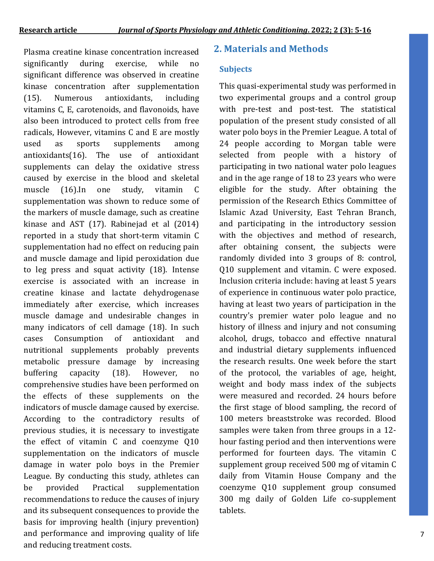significantly during exercise, while no significant difference was observed in creatine kinase concentration after supplementation (15). Numerous antioxidants, including vitamins C, E, carotenoids, and flavonoids, have also been introduced to protect cells from free radicals, However, vitamins C and E are mostly used as sports supplements among antioxidants(16). The use of antioxidant supplements can delay the oxidative stress caused by exercise in the blood and skeletal muscle (16).In one study, vitamin C supplementation was shown to reduce some of the markers of muscle damage, such as creatine kinase and AST (17). Rabinejad et al (2014) reported in a study that short-term vitamin C supplementation had no effect on reducing pain and muscle damage and lipid peroxidation due to leg press and squat activity (18). Intense exercise is associated with an increase in creatine kinase and lactate dehydrogenase immediately after exercise, which increases muscle damage and undesirable changes in many indicators of cell damage (18). In such cases Consumption of antioxidant and nutritional supplements probably prevents metabolic pressure damage by increasing buffering capacity (18). However, no comprehensive studies have been performed on the effects of these supplements on the indicators of muscle damage caused by exercise. According to the contradictory results of previous studies, it is necessary to investigate the effect of vitamin C and coenzyme Q10 supplementation on the indicators of muscle damage in water polo boys in the Premier League. By conducting this study, athletes can be provided Practical supplementation recommendations to reduce the causes of injury and its subsequent consequences to provide the basis for improving health (injury prevention) and performance and improving quality of life and reducing treatment costs.

## **2. Materials and Methods** Plasma creatine kinase concentration increased

#### **Subjects**

This quasi-experimental study was performed in two experimental groups and a control group with pre-test and post-test. The statistical population of the present study consisted of all water polo boys in the Premier League. A total of 24 people according to Morgan table were selected from people with a history of participating in two national water polo leagues and in the age range of 18 to 23 years who were eligible for the study. After obtaining the permission of the Research Ethics Committee of Islamic Azad University, East Tehran Branch, and participating in the introductory session with the objectives and method of research, after obtaining consent, the subjects were randomly divided into 3 groups of 8: control, Q10 supplement and vitamin. C were exposed. Inclusion criteria include: having at least 5 years of experience in continuous water polo practice, having at least two years of participation in the country's premier water polo league and no history of illness and injury and not consuming alcohol, drugs, tobacco and effective nnatural and industrial dietary supplements influenced the research results. One week before the start of the protocol, the variables of age, height, weight and body mass index of the subjects were measured and recorded. 24 hours before the first stage of blood sampling, the record of 100 meters breaststroke was recorded. Blood samples were taken from three groups in a 12 hour fasting period and then interventions were performed for fourteen days. The vitamin C supplement group received 500 mg of vitamin C daily from Vitamin House Company and the coenzyme Q10 supplement group consumed 300 mg daily of Golden Life co-supplement tablets.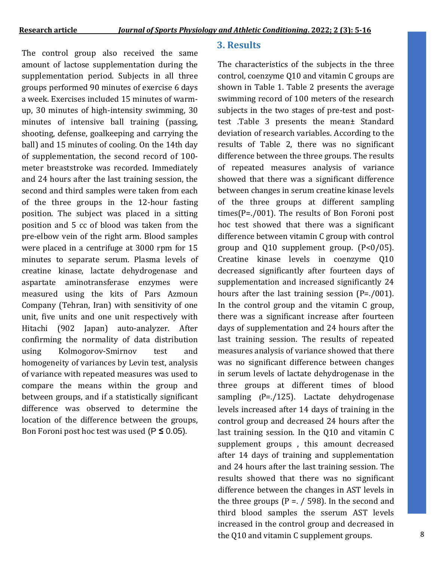The control group also received the same amount of lactose supplementation during the supplementation period. Subjects in all three groups performed 90 minutes of exercise 6 days a week. Exercises included 15 minutes of warmup, 30 minutes of high-intensity swimming, 30 minutes of intensive ball training (passing, shooting, defense, goalkeeping and carrying the ball) and 15 minutes of cooling. On the 14th day of supplementation, the second record of 100 meter breaststroke was recorded. Immediately and 24 hours after the last training session, the second and third samples were taken from each of the three groups in the 12-hour fasting position. The subject was placed in a sitting position and 5 cc of blood was taken from the pre-elbow vein of the right arm. Blood samples were placed in a centrifuge at 3000 rpm for 15 minutes to separate serum. Plasma levels of creatine kinase, lactate dehydrogenase and aspartate aminotransferase enzymes were measured using the kits of Pars Azmoun Company (Tehran, Iran) with sensitivity of one unit, five units and one unit respectively with Hitachi (902 Japan) auto-analyzer. After confirming the normality of data distribution using Kolmogorov-Smirnov test and homogeneity of variances by Levin test, analysis of variance with repeated measures was used to compare the means within the group and between groups, and if a statistically significant difference was observed to determine the location of the difference between the groups, Bon Foroni post hoc test was used (P **≥** 0.05).

### **3. Results**

The characteristics of the subjects in the three control, coenzyme Q10 and vitamin C groups are shown in Table 1. Table 2 presents the average swimming record of 100 meters of the research subjects in the two stages of pre-test and posttest .Table 3 presents the mean± Standard deviation of research variables. According to the results of Table 2, there was no significant difference between the three groups. The results of repeated measures analysis of variance showed that there was a significant difference between changes in serum creatine kinase levels of the three groups at different sampling times(P=./001). The results of Bon Foroni post hoc test showed that there was a significant difference between vitamin C group with control group and Q10 supplement group.  $(P<0/05)$ . Creatine kinase levels in coenzyme Q10 decreased significantly after fourteen days of supplementation and increased significantly 24 hours after the last training session (P=./001). In the control group and the vitamin C group, there was a significant increase after fourteen days of supplementation and 24 hours after the last training session. The results of repeated measures analysis of variance showed that there was no significant difference between changes in serum levels of lactate dehydrogenase in the three groups at different times of blood sampling **)**P=./125). Lactate dehydrogenase levels increased after 14 days of training in the control group and decreased 24 hours after the last training session. In the Q10 and vitamin C supplement groups , this amount decreased after 14 days of training and supplementation and 24 hours after the last training session. The results showed that there was no significant difference between the changes in AST levels in the three groups ( $P = r / 598$ ). In the second and third blood samples the sserum AST levels increased in the control group and decreased in the Q10 and vitamin C supplement groups.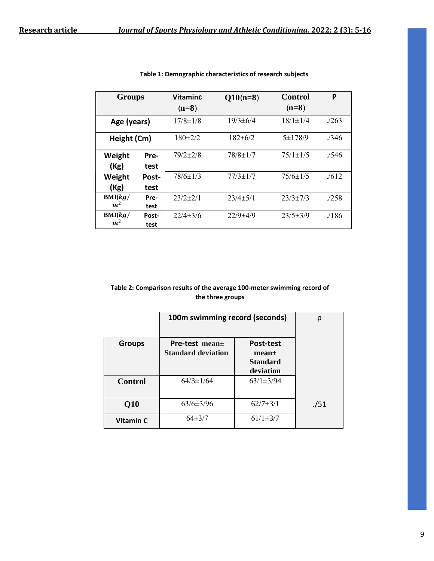| <b>Groups</b>             |               | <b>Vitaminc</b><br>$(n=8)$ | $Q10(n=8)$     | <b>Control</b><br>$(n=8)$ | P       |
|---------------------------|---------------|----------------------------|----------------|---------------------------|---------|
| Age (years)               |               | $17/8 \pm 1/8$             | $19/3 \pm 6/4$ | $18/1 \pm 1/4$            | . / 263 |
| Height (Cm)               |               | $180+2/2$                  | $182+6/2$      | $5 \pm 178/9$             | ./346   |
| Weight<br>(Kg)            | Pre-<br>test  | $79/2 + 2/8$               | $78/8 \pm 1/7$ | $75/1 \pm 1/5$            | .7546   |
| Weight<br>(Kg)            | Post-<br>test | $78/6 \pm 1/3$             | $77/3 \pm 1/7$ | $75/6 \pm 1/5$            | .7612   |
| BMI(kg/<br>m <sup>2</sup> | Pre-<br>test  | $23/2+2/1$                 | $23/4 + 5/1$   | $23/3+7/3$                | . / 258 |
| BMI(kg/<br>m <sup>2</sup> | Post-<br>test | $22/4+3/6$                 | $22/9 + 4/9$   | $23/5 \pm 3/9$            | ./186   |

**Table 1: Demographic characteristics of research subjects**

#### **Table 2: Comparison results of the average 100-meter swimming record of the three groups**

|                | 100m swimming record (seconds)                          | р                                                              |      |
|----------------|---------------------------------------------------------|----------------------------------------------------------------|------|
| <b>Groups</b>  | <b>Pre-test mean</b> $\pm$<br><b>Standard deviation</b> | Post-test<br>mean <sub>±</sub><br><b>Standard</b><br>deviation |      |
| <b>Control</b> | $64/3 \pm 1/64$                                         | $63/1 \pm 3/94$                                                |      |
| Q10            | $63/6 \pm 3/96$                                         | $62/7 + 3/1$                                                   | ./51 |
| Vitamin C      | $64\pm3/7$                                              | $61/1 \pm 3/7$                                                 |      |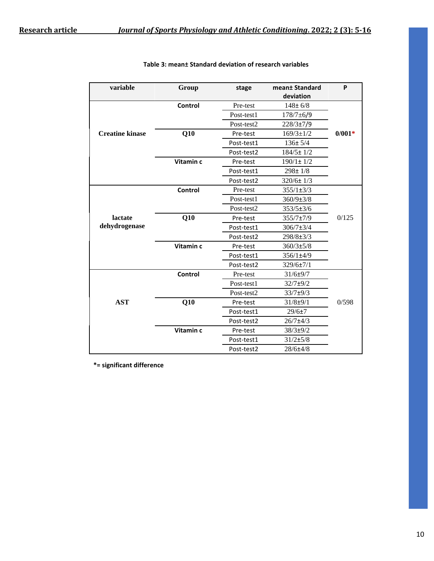| variable               | Group     | stage      | mean± Standard<br>deviation | P        |
|------------------------|-----------|------------|-----------------------------|----------|
|                        | Control   | Pre-test   | $148 + 6/8$                 |          |
|                        |           | Post-test1 | $178/7 \pm 6/9$             |          |
|                        |           | Post-test2 | 228/3±7/9                   |          |
| <b>Creatine kinase</b> | Q10       | Pre-test   | $169/3 \pm 1/2$             | $0/001*$ |
|                        |           | Post-test1 | $136 \pm 5/4$               |          |
|                        |           | Post-test2 | $184/5 \pm 1/2$             |          |
|                        | Vitamin c | Pre-test   | $190/1 \pm 1/2$             |          |
|                        |           | Post-test1 | $298 \pm 1/8$               |          |
|                        |           | Post-test2 | $320/6 \pm 1/3$             |          |
|                        | Control   | Pre-test   | $355/1\pm3/3$               |          |
|                        |           | Post-test1 | $360/9 \pm 3/8$             |          |
|                        |           | Post-test2 | $353/5 \pm 3/6$             |          |
| lactate                | Q10       | Pre-test   | 355/7±7/9                   | 0/125    |
| dehydrogenase          |           | Post-test1 | $306/7 \pm 3/4$             |          |
|                        |           | Post-test2 | 298/8±3/3                   |          |
|                        | Vitamin c | Pre-test   | $360/3 \pm 5/8$             |          |
|                        |           | Post-test1 | 356/1±4/9                   |          |
|                        |           | Post-test2 | 329/6±7/1                   |          |
|                        | Control   | Pre-test   | 31/6±9/7                    |          |
|                        |           | Post-test1 | $32/7 + 9/2$                |          |
|                        |           | Post-test2 | 33/7±9/3                    |          |
| <b>AST</b>             | Q10       | Pre-test   | $31/8 + 9/1$                | 0/598    |
|                        |           | Post-test1 | 29/6±7                      |          |
|                        |           | Post-test2 | $26/7 + 4/3$                |          |
|                        | Vitamin c | Pre-test   | 38/3±9/2                    |          |
|                        |           | Post-test1 | 31/2±5/8                    |          |
|                        |           | Post-test2 | 28/6±4/8                    |          |

**Table 3: mean± Standard deviation of research variables**

**\*= significant difference**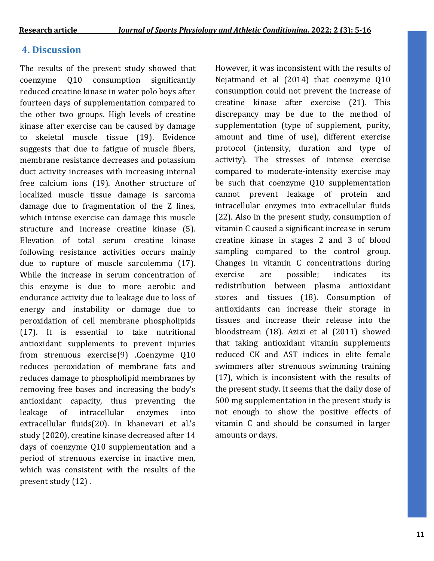# **4. Discussion**

 following resistance activities occurs mainly The results of the present study showed that coenzyme Q10 consumption significantly reduced creatine kinase in water polo boys after fourteen days of supplementation compared to the other two groups. High levels of creatine kinase after exercise can be caused by damage to skeletal muscle tissue (19). Evidence suggests that due to fatigue of muscle fibers, membrane resistance decreases and potassium duct activity increases with increasing internal free calcium ions (19). Another structure of localized muscle tissue damage is sarcoma damage due to fragmentation of the Z lines, which intense exercise can damage this muscle structure and increase creatine kinase (5). Elevation of total serum creatine kinase due to rupture of muscle sarcolemma (17). While the increase in serum concentration of this enzyme is due to more aerobic and endurance activity due to leakage due to loss of energy and instability or damage due to peroxidation of cell membrane phospholipids (17). It is essential to take nutritional antioxidant supplements to prevent injuries from strenuous exercise(9) .Coenzyme Q10 reduces peroxidation of membrane fats and reduces damage to phospholipid membranes by removing free bases and increasing the body's antioxidant capacity, thus preventing the leakage of intracellular enzymes into extracellular fluids(20). In khanevari et al.'s study (2020), creatine kinase decreased after 14 days of coenzyme Q10 supplementation and a period of strenuous exercise in inactive men, which was consistent with the results of the present study (12) .

However, it was inconsistent with the results of Nejatmand et al (2014) that coenzyme Q10 consumption could not prevent the increase of creatine kinase after exercise (21). This discrepancy may be due to the method of supplementation (type of supplement, purity, amount and time of use), different exercise protocol (intensity, duration and type of activity). The stresses of intense exercise compared to moderate-intensity exercise may be such that coenzyme Q10 supplementation cannot prevent leakage of protein and intracellular enzymes into extracellular fluids (22). Also in the present study, consumption of vitamin C caused a significant increase in serum creatine kinase in stages 2 and 3 of blood sampling compared to the control group. Changes in vitamin C concentrations during exercise are possible; indicates its redistribution between plasma antioxidant stores and tissues (18). Consumption of antioxidants can increase their storage in tissues and increase their release into the bloodstream (18). Azizi et al (2011) showed that taking antioxidant vitamin supplements reduced CK and AST indices in elite female swimmers after strenuous swimming training (17), which is inconsistent with the results of the present study. It seems that the daily dose of 500 mg supplementation in the present study is not enough to show the positive effects of vitamin C and should be consumed in larger amounts or days.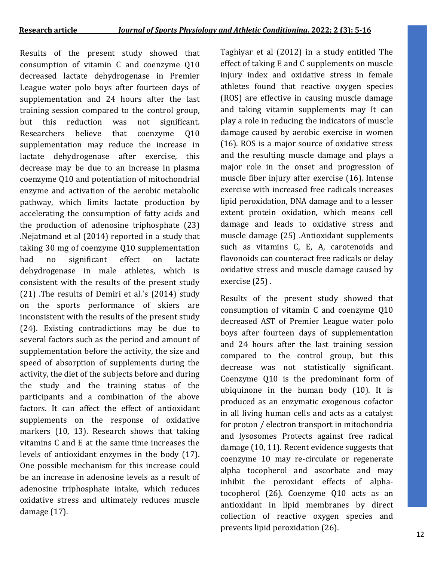Results of the present study showed that consumption of vitamin C and coenzyme Q10 decreased lactate dehydrogenase in Premier League water polo boys after fourteen days of supplementation and 24 hours after the last training session compared to the control group, but this reduction was not significant. Researchers believe that coenzyme Q10 supplementation may reduce the increase in lactate dehydrogenase after exercise, this decrease may be due to an increase in plasma coenzyme Q10 and potentiation of mitochondrial enzyme and activation of the aerobic metabolic pathway, which limits lactate production by accelerating the consumption of fatty acids and the production of adenosine triphosphate (23) .Nejatmand et al (2014) reported in a study that taking 30 mg of coenzyme Q10 supplementation had no significant effect on lactate dehydrogenase in male athletes, which is consistent with the results of the present study (21) .The results of Demiri et al.'s (2014) study on the sports performance of skiers are inconsistent with the results of the present study (24). Existing contradictions may be due to several factors such as the period and amount of supplementation before the activity, the size and speed of absorption of supplements during the activity, the diet of the subjects before and during the study and the training status of the participants and a combination of the above factors. It can affect the effect of antioxidant supplements on the response of oxidative markers (10, 13). Research shows that taking vitamins C and E at the same time increases the levels of antioxidant enzymes in the body (17). One possible mechanism for this increase could be an increase in adenosine levels as a result of adenosine triphosphate intake, which reduces oxidative stress and ultimately reduces muscle damage (17).

Taghiyar et al (2012) in a study entitled The effect of taking E and C supplements on muscle injury index and oxidative stress in female athletes found that reactive oxygen species (ROS) are effective in causing muscle damage and taking vitamin supplements may It can play a role in reducing the indicators of muscle damage caused by aerobic exercise in women (16). ROS is a major source of oxidative stress and the resulting muscle damage and plays a major role in the onset and progression of muscle fiber injury after exercise (16). Intense exercise with increased free radicals increases lipid peroxidation, DNA damage and to a lesser extent protein oxidation, which means cell damage and leads to oxidative stress and muscle damage (25) .Antioxidant supplements such as vitamins C, E, A, carotenoids and flavonoids can counteract free radicals or delay oxidative stress and muscle damage caused by exercise (25) .

Results of the present study showed that consumption of vitamin C and coenzyme Q10 decreased AST of Premier League water polo boys after fourteen days of supplementation and 24 hours after the last training session compared to the control group, but this decrease was not statistically significant. Coenzyme Q10 is the predominant form of ubiquinone in the human body (10). It is produced as an enzymatic exogenous cofactor in all living human cells and acts as a catalyst for proton / electron transport in mitochondria and lysosomes Protects against free radical damage (10, 11). Recent evidence suggests that coenzyme 10 may re-circulate or regenerate alpha tocopherol and ascorbate and may inhibit the peroxidant effects of alphatocopherol (26). Coenzyme Q10 acts as an antioxidant in lipid membranes by direct collection of reactive oxygen species and prevents lipid peroxidation (26).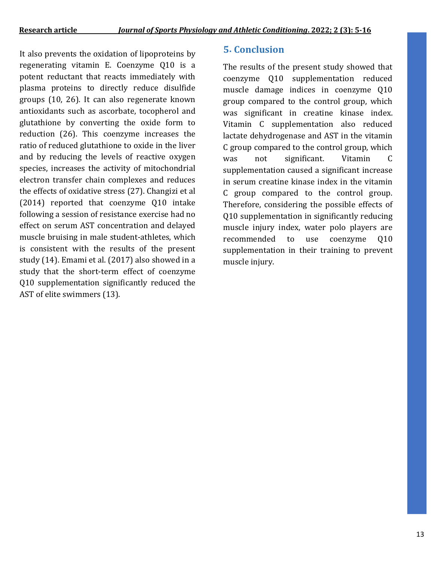It also prevents the oxidation of lipoproteins by regenerating vitamin E. Coenzyme Q10 is a potent reductant that reacts immediately with plasma proteins to directly reduce disulfide groups (10, 26). It can also regenerate known antioxidants such as ascorbate, tocopherol and glutathione by converting the oxide form to reduction (26). This coenzyme increases the ratio of reduced glutathione to oxide in the liver and by reducing the levels of reactive oxygen species, increases the activity of mitochondrial electron transfer chain complexes and reduces the effects of oxidative stress (27). Changizi et al (2014) reported that coenzyme Q10 intake following a session of resistance exercise had no effect on serum AST concentration and delayed muscle bruising in male student-athletes, which is consistent with the results of the present study (14). Emami et al. (2017) also showed in a study that the short-term effect of coenzyme Q10 supplementation significantly reduced the AST of elite swimmers (13).

# **5. Conclusion**

The results of the present study showed that coenzyme Q10 supplementation reduced muscle damage indices in coenzyme Q10 group compared to the control group, which was significant in creatine kinase index. Vitamin C supplementation also reduced lactate dehydrogenase and AST in the vitamin C group compared to the control group, which was not significant. Vitamin C supplementation caused a significant increase in serum creatine kinase index in the vitamin C group compared to the control group. Therefore, considering the possible effects of Q10 supplementation in significantly reducing muscle injury index, water polo players are recommended to use coenzyme Q10 supplementation in their training to prevent muscle injury.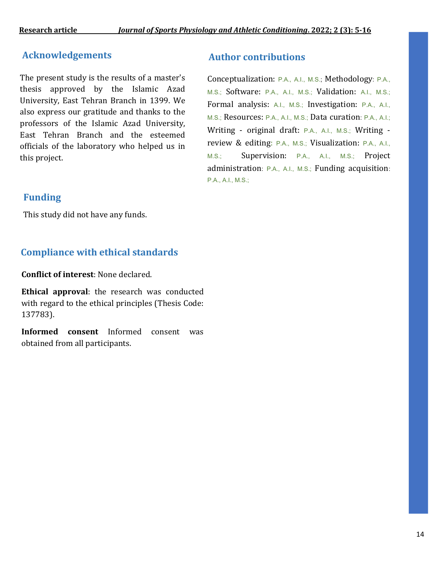## **Acknowledgements**

The present study is the results of a master's thesis approved by the Islamic Azad University, East Tehran Branch in 1399. We also express our gratitude and thanks to the professors of the Islamic Azad University, East Tehran Branch and the esteemed officials of the laboratory who helped us in this project.

# **Funding**

This study did not have any funds.

# **Compliance with ethical standards**

**Conflict of interest**: None declared.

**Ethical approval**: the research was conducted with regard to the ethical principles (Thesis Code: 137783).

**Informed consent** Informed consent was obtained from all participants.

# **Author contributions**

Conceptualization: P.A., A.I., M.S.; Methodology: P.A., M.S.; Software: P.A., A.I., M.S.; Validation: A.I., M.S.; Formal analysis: A.I., M.S.; Investigation: P.A., A.I., M.S.; Resources: P.A., A.I., M.S.; Data curation: P.A., A.I.; Writing - original draft: P.A., A.I., M.S.; Writing review & editing: P.A., M.S.; Visualization: P.A., A.I., M.S.; Supervision: P.A., A.I., M.S.; Project administration: P.A., A.I., M.S.; Funding acquisition: P.A., A.I., M.S.;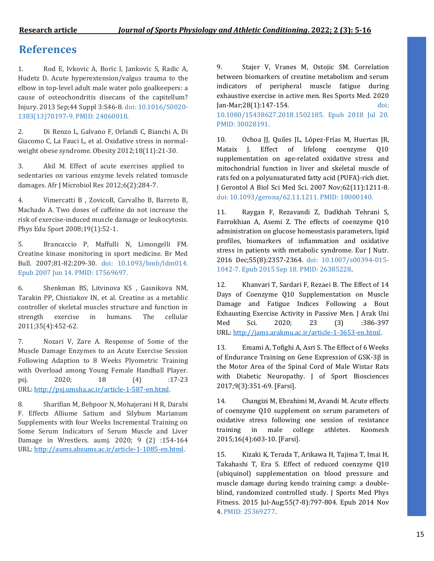# **References**

1. Rod E, Ivkovic A, Boric I, Jankovic S, Radic A, Hudetz D. Acute hyperextension/valgus trauma to the elbow in top-level adult male water polo goalkeepers: a cause of osteochondritis disecans of the capitellum? Injury. 2013 Sep;44 Suppl 3:S46-8. doi: 10.1016/S0020- 1383(13)70197-9. PMID: 24060018.

2. Di Renzo L, Galvano F, Orlandi C, Bianchi A, Di Giacomo C, La Fauci L, et al. Oxidative stress in normalweight obese syndrome. Obesity 2012;18(11):21-30.

3. Akil M. Effect of acute exercises applied to sedentaries on various enzyme levels related tomuscle damages. Afr J Microbiol Res 2012;6(2):284-7.

4. Vimercatti B , ZovicoB, Carvalho B, Barreto B, Machado A. Two doses of caffeine do not increase the risk of exercise-induced muscle damage or leukocytosis. Phys Edu Sport 2008;19(1):52-1.

5. Brancaccio P, Maffulli N, Limongelli FM. Creatine kinase monitoring in sport medicine. Br Med Bull. 2007;81-82:209-30. doi: 10.1093/bmb/ldm014. Epub 2007 Jun 14. PMID: 17569697.

6. Shenkman BS, Litvinova KS , Gasnikova NM, Tarakin PP, Chistiakov IN, et al. Creatine as a metablic controller of skeletal muscles structure and function in strength exercise in humans. The cellular 2011;35(4):452-62.

7. Nozari V, Zare A. Response of Some of the Muscle Damage Enzymes to an Acute Exercise Session Following Adaption to 8 Weeks Plyometric Training with Overload among Young Female Handball Player. psj. 2020; 18 (4) :17-23 URL: <http://psj.umsha.ac.ir/article-1-587-en.html>.

8. Sharifian M, Behpoor N, Mohajerani H R, Darabi F. Effects Alliume Satium and Silybum Marianum Supplements with four Weeks Incremental Training on Some Serum Indicators of Serum Muscle and Liver Damage in Wrestlers. aumj. 2020; 9 (2) :154-164 URL: <http://aums.abzums.ac.ir/article-1-1085-en.html>.

9. Stajer V, Vranes M, Ostojic SM. Correlation between biomarkers of creatine metabolism and serum indicators of peripheral muscle fatigue during exhaustive exercise in active men. Res Sports Med. 2020 Jan-Mar;28(1):147-154. doi: 10.1080/15438627.2018.1502185. Epub 2018 Jul 20. PMID: 30028191.

10. Ochoa JJ, Quiles JL, López-Frías M, Huertas JR, Mataix J. Effect of lifelong coenzyme 010 supplementation on age-related oxidative stress and mitochondrial function in liver and skeletal muscle of rats fed on a polyunsaturated fatty acid (PUFA)-rich diet. J Gerontol A Biol Sci Med Sci. 2007 Nov;62(11):1211-8. doi: 10.1093/gerona/62.11.1211. PMID: 18000140.

11. Raygan F, Rezavandi Z, Dadkhah Tehrani S, Farrokhian A, Asemi Z. The effects of coenzyme Q10 administration on glucose homeostasis parameters, lipid profiles, biomarkers of inflammation and oxidative stress in patients with metabolic syndrome. Eur J Nutr. 2016 Dec;55(8):2357-2364. doi: 10.1007/s00394-015- 1042-7. Epub 2015 Sep 18. PMID: 26385228.

12. Khanvari T, Sardari F, Rezaei B. The Effect of 14 Days of Coenzyme Q10 Supplementation on Muscle Damage and Fatigue Indices Following a Bout Exhausting Exercise Activity in Passive Men. J Arak Uni Med Sci. 2020; 23 (3) :386-397 URL: [http://jams.arakmu.ac.ir/article-1-3653-en.html.](http://jams.arakmu.ac.ir/article-1-3653-en.html)

13. Emami A, Tofighi A, Asri S. The Effect of 6 Weeks of Endurance Training on Gene Expression of GSK-3β in the Motor Area of the Spinal Cord of Male Wistar Rats with Diabetic Neuropathy. J of Sport Biosciences 2017;9(3):351-69. [Farsi].

14. Changizi M, Ebrahimi M, Avandi M. Acute effects of coenzyme Q10 supplement on serum parameters of oxidative stress following one session of resistance training in male college athletes. Koomesh 2015;16(4):603-10. [Farsi].

15. Kizaki K, Terada T, Arikawa H, Tajima T, Imai H, Takahashi T, Era S. Effect of reduced coenzyme Q10 (ubiquinol) supplementation on blood pressure and muscle damage during kendo training camp: a doubleblind, randomized controlled study. J Sports Med Phys Fitness. 2015 Jul-Aug;55(7-8):797-804. Epub 2014 Nov 4. PMID: 25369277.